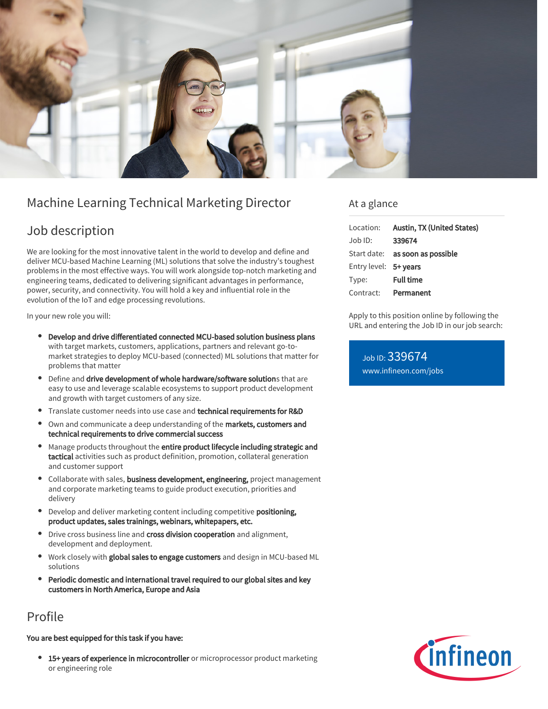

# Machine Learning Technical Marketing Director

## Job description

We are looking for the most innovative talent in the world to develop and define and deliver MCU-based Machine Learning (ML) solutions that solve the industry's toughest problems in the most effective ways. You will work alongside top-notch marketing and engineering teams, dedicated to delivering significant advantages in performance, power, security, and connectivity. You will hold a key and influential role in the evolution of the IoT and edge processing revolutions.

In your new role you will:

- Develop and drive differentiated connected MCU-based solution business plans with target markets, customers, applications, partners and relevant go-tomarket strategies to deploy MCU-based (connected) ML solutions that matter for problems that matter
- Define and drive development of whole hardware/software solutions that are easy to use and leverage scalable ecosystems to support product development and growth with target customers of any size.
- Translate customer needs into use case and technical requirements for R&D
- Own and communicate a deep understanding of the markets, customers and technical requirements to drive commercial success
- Manage products throughout the entire product lifecycle including strategic and tactical activities such as product definition, promotion, collateral generation and customer support
- Collaborate with sales, business development, engineering, project management and corporate marketing teams to guide product execution, priorities and delivery
- Develop and deliver marketing content including competitive positioning, product updates, sales trainings, webinars, whitepapers, etc.
- Drive cross business line and cross division cooperation and alignment, development and deployment.
- Work closely with global sales to engage customers and design in MCU-based ML solutions
- Periodic domestic and international travel required to our global sites and key customers in North America, Europe and Asia

## Profile

### You are best equipped for this task if you have:

 $\bullet$ 15+ years of experience in microcontroller or microprocessor product marketing or engineering role

### At a glance

| Location:             | Austin, TX (United States)             |
|-----------------------|----------------------------------------|
| Job ID:               | 339674                                 |
|                       | Start date: <b>as soon as possible</b> |
| Entry level: 5+ years |                                        |
| Type:                 | <b>Full time</b>                       |
|                       | Contract: Permanent                    |

Apply to this position online by following the URL and entering the Job ID in our job search:

Job ID: 339674 [www.infineon.com/jobs](https://www.infineon.com/jobs)

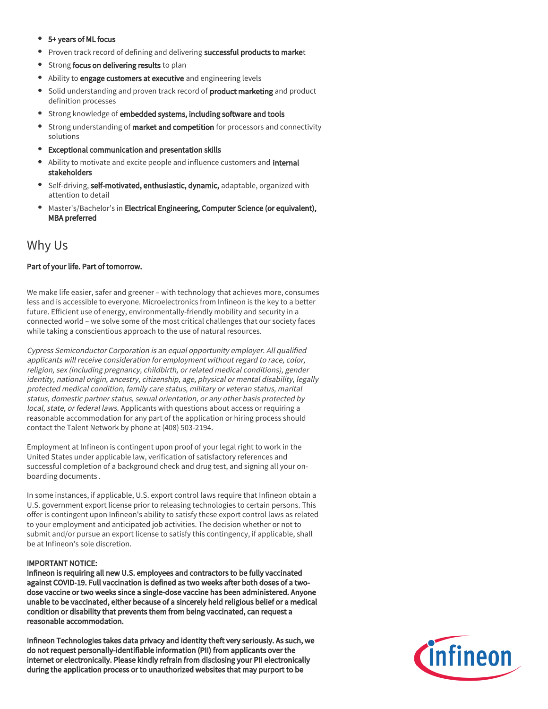#### 5+ years of ML focus

- **Proven track record of defining and delivering successful products to market**
- Strong focus on delivering results to plan
- Ability to engage customers at executive and engineering levels
- Solid understanding and proven track record of **product marketing** and product  $\bullet$ definition processes
- **•** Strong knowledge of embedded systems, including software and tools
- **•** Strong understanding of market and competition for processors and connectivity solutions
- Exceptional communication and presentation skills
- Ability to motivate and excite people and influence customers and internal stakeholders
- **•** Self-driving, self-motivated, enthusiastic, dynamic, adaptable, organized with attention to detail
- Master's/Bachelor's in Electrical Engineering, Computer Science (or equivalent), MBA preferred

## Why Us

### Part of your life. Part of tomorrow.

We make life easier, safer and greener – with technology that achieves more, consumes less and is accessible to everyone. Microelectronics from Infineon is the key to a better future. Efficient use of energy, environmentally-friendly mobility and security in a connected world – we solve some of the most critical challenges that our society faces while taking a conscientious approach to the use of natural resources.

Cypress Semiconductor Corporation is an equal opportunity employer. All qualified applicants will receive consideration for employment without regard to race, color, religion, sex (including pregnancy, childbirth, or related medical conditions), gender identity, national origin, ancestry, citizenship, age, physical or mental disability, legally protected medical condition, family care status, military or veteran status, marital status, domestic partner status, sexual orientation, or any other basis protected by local, state, or federal laws. Applicants with questions about access or requiring a reasonable accommodation for any part of the application or hiring process should contact the Talent Network by phone at (408) 503-2194.

Employment at Infineon is contingent upon proof of your legal right to work in the United States under applicable law, verification of satisfactory references and successful completion of a background check and drug test, and signing all your onboarding documents .

In some instances, if applicable, U.S. export control laws require that Infineon obtain a U.S. government export license prior to releasing technologies to certain persons. This offer is contingent upon Infineon's ability to satisfy these export control laws as related to your employment and anticipated job activities. The decision whether or not to submit and/or pursue an export license to satisfy this contingency, if applicable, shall be at Infineon's sole discretion.

### IMPORTANT NOTICE:

Infineon is requiring all new U.S. employees and contractors to be fully vaccinated against COVID-19. Full vaccination is defined as two weeks after both doses of a twodose vaccine or two weeks since a single-dose vaccine has been administered. Anyone unable to be vaccinated, either because of a sincerely held religious belief or a medical condition or disability that prevents them from being vaccinated, can request a reasonable accommodation.

Infineon Technologies takes data privacy and identity theft very seriously. As such, we do not request personally-identifiable information (PII) from applicants over the internet or electronically. Please kindly refrain from disclosing your PII electronically during the application process or to unauthorized websites that may purport to be